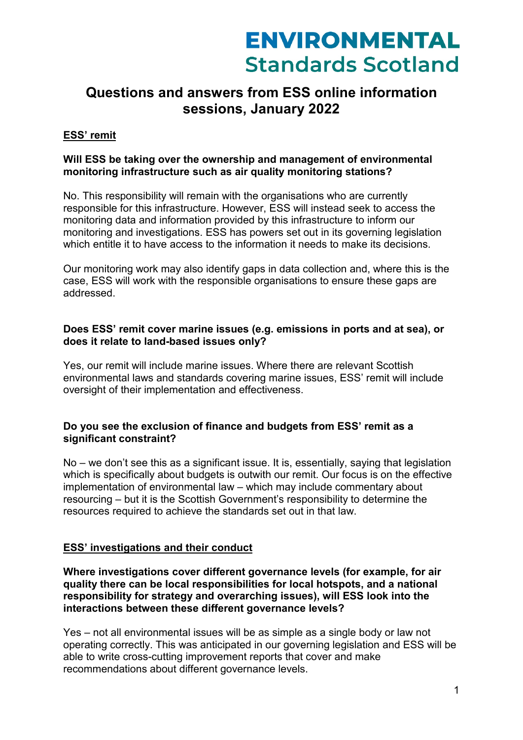# **Questions and answers from ESS online information sessions, January 2022**

## **ESS' remit**

## **Will ESS be taking over the ownership and management of environmental monitoring infrastructure such as air quality monitoring stations?**

No. This responsibility will remain with the organisations who are currently responsible for this infrastructure. However, ESS will instead seek to access the monitoring data and information provided by this infrastructure to inform our monitoring and investigations. ESS has powers set out in its governing legislation which entitle it to have access to the information it needs to make its decisions.

Our monitoring work may also identify gaps in data collection and, where this is the case, ESS will work with the responsible organisations to ensure these gaps are addressed.

### **Does ESS' remit cover marine issues (e.g. emissions in ports and at sea), or does it relate to land-based issues only?**

Yes, our remit will include marine issues. Where there are relevant Scottish environmental laws and standards covering marine issues, ESS' remit will include oversight of their implementation and effectiveness.

#### **Do you see the exclusion of finance and budgets from ESS' remit as a significant constraint?**

No – we don't see this as a significant issue. It is, essentially, saying that legislation which is specifically about budgets is outwith our remit. Our focus is on the effective implementation of environmental law – which may include commentary about resourcing – but it is the Scottish Government's responsibility to determine the resources required to achieve the standards set out in that law.

#### **ESS' investigations and their conduct**

**Where investigations cover different governance levels (for example, for air quality there can be local responsibilities for local hotspots, and a national responsibility for strategy and overarching issues), will ESS look into the interactions between these different governance levels?** 

Yes – not all environmental issues will be as simple as a single body or law not operating correctly. This was anticipated in our governing legislation and ESS will be able to write cross-cutting improvement reports that cover and make recommendations about different governance levels.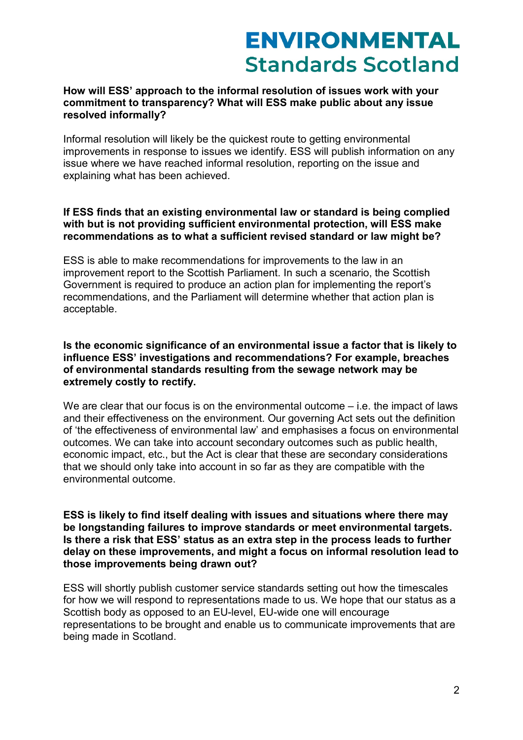#### **How will ESS' approach to the informal resolution of issues work with your commitment to transparency? What will ESS make public about any issue resolved informally?**

Informal resolution will likely be the quickest route to getting environmental improvements in response to issues we identify. ESS will publish information on any issue where we have reached informal resolution, reporting on the issue and explaining what has been achieved.

#### **If ESS finds that an existing environmental law or standard is being complied with but is not providing sufficient environmental protection, will ESS make recommendations as to what a sufficient revised standard or law might be?**

ESS is able to make recommendations for improvements to the law in an improvement report to the Scottish Parliament. In such a scenario, the Scottish Government is required to produce an action plan for implementing the report's recommendations, and the Parliament will determine whether that action plan is acceptable.

#### **Is the economic significance of an environmental issue a factor that is likely to influence ESS' investigations and recommendations? For example, breaches of environmental standards resulting from the sewage network may be extremely costly to rectify.**

We are clear that our focus is on the environmental outcome – i.e. the impact of laws and their effectiveness on the environment. Our governing Act sets out the definition of 'the effectiveness of environmental law' and emphasises a focus on environmental outcomes. We can take into account secondary outcomes such as public health, economic impact, etc., but the Act is clear that these are secondary considerations that we should only take into account in so far as they are compatible with the environmental outcome.

#### **ESS is likely to find itself dealing with issues and situations where there may be longstanding failures to improve standards or meet environmental targets. Is there a risk that ESS' status as an extra step in the process leads to further delay on these improvements, and might a focus on informal resolution lead to those improvements being drawn out?**

ESS will shortly publish customer service standards setting out how the timescales for how we will respond to representations made to us. We hope that our status as a Scottish body as opposed to an EU-level, EU-wide one will encourage representations to be brought and enable us to communicate improvements that are being made in Scotland.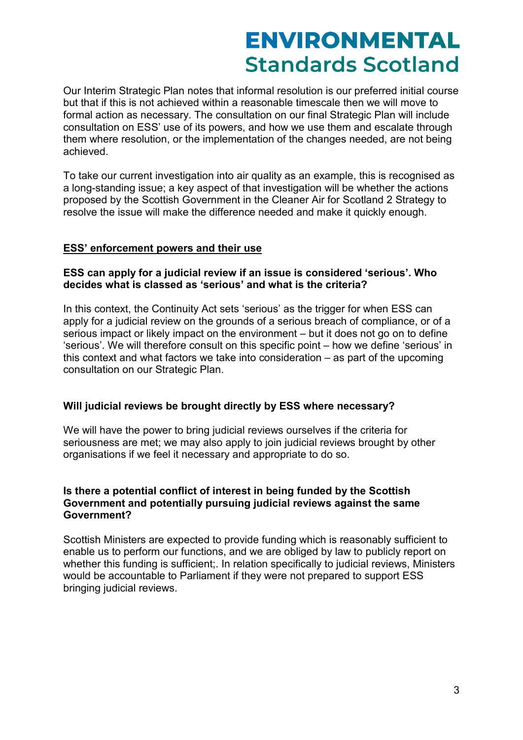Our Interim Strategic Plan notes that informal resolution is our preferred initial course but that if this is not achieved within a reasonable timescale then we will move to formal action as necessary. The consultation on our final Strategic Plan will include consultation on ESS' use of its powers, and how we use them and escalate through them where resolution, or the implementation of the changes needed, are not being achieved.

To take our current investigation into air quality as an example, this is recognised as a long-standing issue; a key aspect of that investigation will be whether the actions proposed by the Scottish Government in the Cleaner Air for Scotland 2 Strategy to resolve the issue will make the difference needed and make it quickly enough.

#### **ESS' enforcement powers and their use**

#### **ESS can apply for a judicial review if an issue is considered 'serious'. Who decides what is classed as 'serious' and what is the criteria?**

In this context, the Continuity Act sets 'serious' as the trigger for when ESS can apply for a judicial review on the grounds of a serious breach of compliance, or of a serious impact or likely impact on the environment – but it does not go on to define 'serious'. We will therefore consult on this specific point – how we define 'serious' in this context and what factors we take into consideration – as part of the upcoming consultation on our Strategic Plan.

#### **Will judicial reviews be brought directly by ESS where necessary?**

We will have the power to bring judicial reviews ourselves if the criteria for seriousness are met; we may also apply to join judicial reviews brought by other organisations if we feel it necessary and appropriate to do so.

## **Is there a potential conflict of interest in being funded by the Scottish Government and potentially pursuing judicial reviews against the same Government?**

Scottish Ministers are expected to provide funding which is reasonably sufficient to enable us to perform our functions, and we are obliged by law to publicly report on whether this funding is sufficient;. In relation specifically to judicial reviews, Ministers would be accountable to Parliament if they were not prepared to support ESS bringing judicial reviews.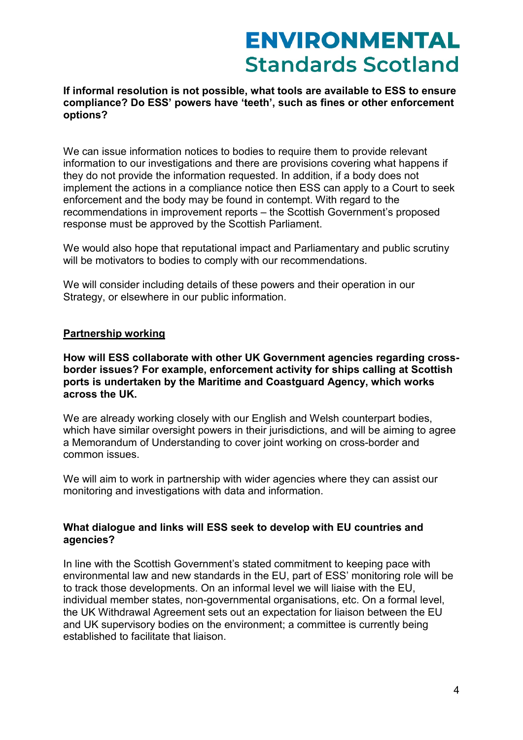### **If informal resolution is not possible, what tools are available to ESS to ensure compliance? Do ESS' powers have 'teeth', such as fines or other enforcement options?**

We can issue information notices to bodies to require them to provide relevant information to our investigations and there are provisions covering what happens if they do not provide the information requested. In addition, if a body does not implement the actions in a compliance notice then ESS can apply to a Court to seek enforcement and the body may be found in contempt. With regard to the recommendations in improvement reports – the Scottish Government's proposed response must be approved by the Scottish Parliament.

We would also hope that reputational impact and Parliamentary and public scrutiny will be motivators to bodies to comply with our recommendations.

We will consider including details of these powers and their operation in our Strategy, or elsewhere in our public information.

#### **Partnership working**

**How will ESS collaborate with other UK Government agencies regarding crossborder issues? For example, enforcement activity for ships calling at Scottish ports is undertaken by the Maritime and Coastguard Agency, which works across the UK.**

We are already working closely with our English and Welsh counterpart bodies, which have similar oversight powers in their jurisdictions, and will be aiming to agree a Memorandum of Understanding to cover joint working on cross-border and common issues.

We will aim to work in partnership with wider agencies where they can assist our monitoring and investigations with data and information.

## **What dialogue and links will ESS seek to develop with EU countries and agencies?**

In line with the Scottish Government's stated commitment to keeping pace with environmental law and new standards in the EU, part of ESS' monitoring role will be to track those developments. On an informal level we will liaise with the EU, individual member states, non-governmental organisations, etc. On a formal level, the UK Withdrawal Agreement sets out an expectation for liaison between the EU and UK supervisory bodies on the environment; a committee is currently being established to facilitate that liaison.